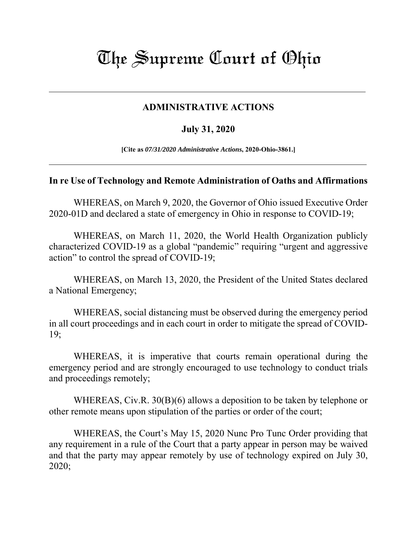## The Supreme Court of Ohio

## **ADMINISTRATIVE ACTIONS**

## **July 31, 2020**

**[Cite as** *07/31/2020 Administrative Actions***, 2020-Ohio-3861.]**

## **In re Use of Technology and Remote Administration of Oaths and Affirmations**

WHEREAS, on March 9, 2020, the Governor of Ohio issued Executive Order 2020-01D and declared a state of emergency in Ohio in response to COVID-19;

WHEREAS, on March 11, 2020, the World Health Organization publicly characterized COVID-19 as a global "pandemic" requiring "urgent and aggressive action" to control the spread of COVID-19;

WHEREAS, on March 13, 2020, the President of the United States declared a National Emergency;

WHEREAS, social distancing must be observed during the emergency period in all court proceedings and in each court in order to mitigate the spread of COVID-19;

WHEREAS, it is imperative that courts remain operational during the emergency period and are strongly encouraged to use technology to conduct trials and proceedings remotely;

WHEREAS, Civ.R. 30(B)(6) allows a deposition to be taken by telephone or other remote means upon stipulation of the parties or order of the court;

WHEREAS, the Court's May 15, 2020 Nunc Pro Tunc Order providing that any requirement in a rule of the Court that a party appear in person may be waived and that the party may appear remotely by use of technology expired on July 30, 2020;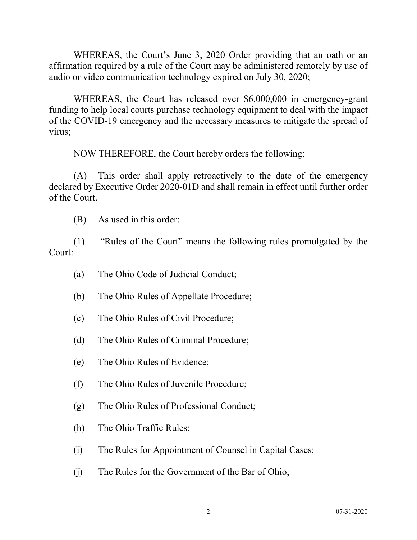WHEREAS, the Court's June 3, 2020 Order providing that an oath or an affirmation required by a rule of the Court may be administered remotely by use of audio or video communication technology expired on July 30, 2020;

WHEREAS, the Court has released over \$6,000,000 in emergency-grant funding to help local courts purchase technology equipment to deal with the impact of the COVID-19 emergency and the necessary measures to mitigate the spread of virus;

NOW THEREFORE, the Court hereby orders the following:

(A) This order shall apply retroactively to the date of the emergency declared by Executive Order 2020-01D and shall remain in effect until further order of the Court.

(B) As used in this order:

(1) "Rules of the Court" means the following rules promulgated by the Court:

- (a) The Ohio Code of Judicial Conduct;
- (b) The Ohio Rules of Appellate Procedure;
- (c) The Ohio Rules of Civil Procedure;
- (d) The Ohio Rules of Criminal Procedure;
- (e) The Ohio Rules of Evidence;
- (f) The Ohio Rules of Juvenile Procedure;
- (g) The Ohio Rules of Professional Conduct;
- (h) The Ohio Traffic Rules;
- (i) The Rules for Appointment of Counsel in Capital Cases;
- (j) The Rules for the Government of the Bar of Ohio;